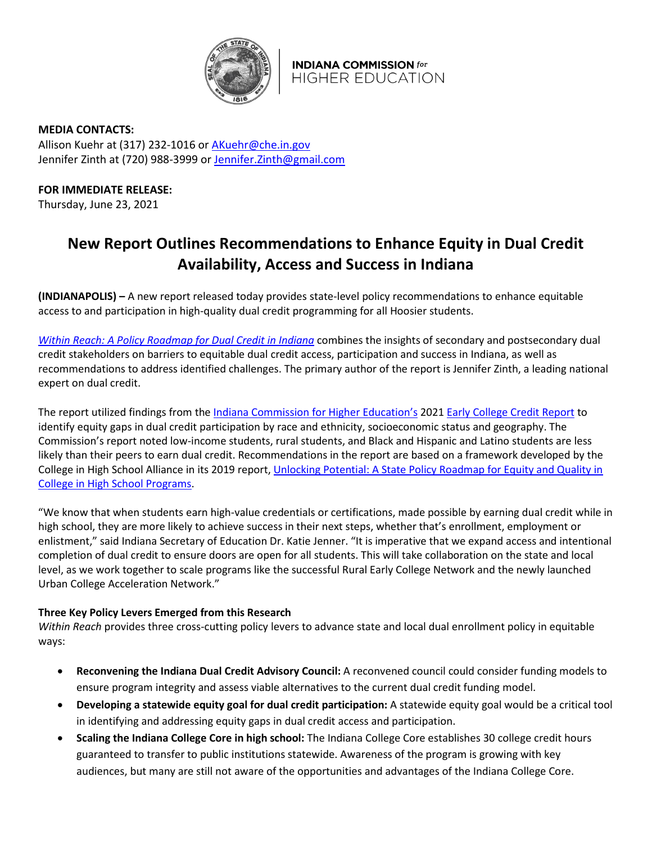

**INDIANA COMMISSION for HIGHER EDUCATION** 

**MEDIA CONTACTS:**  Allison Kuehr at (317) 232-1016 or [AKuehr@che.in.gov](mailto:AKuehr@che.in.gov) Jennifer Zinth at (720) 988-3999 or [Jennifer.Zinth@gmail.com](mailto:Jennifer.Zinth@gmail.com)

**FOR IMMEDIATE RELEASE:**

Thursday, June 23, 2021

## **New Report Outlines Recommendations to Enhance Equity in Dual Credit Availability, Access and Success in Indiana**

**(INDIANAPOLIS) –** A new report released today provides state-level policy recommendations to enhance equitable access to and participation in high-quality dual credit programming for all Hoosier students.

*Within Reach: A [Policy Roadmap for Dual Credit in Indiana](https://protect2.fireeye.com/v1/url?k=31323334-50bba2bf-31367a34-4544474f5631-d982b05c4167b242&q=1&e=c219fb43-4f8c-40de-9cf1-ee112c3836cb&u=https%3A%2F%2Fassets.joycefdn.org%2Fcontent%2Fuploads%2FIndiana-Dual-Credit-Report.pdf)* combines the insights of secondary and postsecondary dual credit stakeholders on barriers to equitable dual credit access, participation and success in Indiana, as well as recommendations to address identified challenges. The primary author of the report is Jennifer Zinth, a leading national expert on dual credit.

The report utilized findings from the [Indiana Commission for Higher Education's](https://www.in.gov/che/) 202[1 Early College Credit](https://www.in.gov/che/files/2021_Early_College_Credit_Report_02_16.pdf) Report to identify equity gaps in dual credit participation by race and ethnicity, socioeconomic status and geography. The Commission's report noted low-income students, rural students, and Black and Hispanic and Latino students are less likely than their peers to earn dual credit. Recommendations in the report are based on a framework developed by the College in High School Alliance in its 2019 report, [Unlocking Potential: A State Policy Roadmap for Equity and Quality in](http://www.collegeinhighschool.org/roadmap)  [College in High School Programs.](http://www.collegeinhighschool.org/roadmap)

"We know that when students earn high-value credentials or certifications, made possible by earning dual credit while in high school, they are more likely to achieve success in their next steps, whether that's enrollment, employment or enlistment," said Indiana Secretary of Education Dr. Katie Jenner. "It is imperative that we expand access and intentional completion of dual credit to ensure doors are open for all students. This will take collaboration on the state and local level, as we work together to scale programs like the successful Rural Early College Network and the newly launched Urban College Acceleration Network."

## **Three Key Policy Levers Emerged from this Research**

*Within Reach* provides three cross-cutting policy levers to advance state and local dual enrollment policy in equitable ways:

- **Reconvening the Indiana Dual Credit Advisory Council:** A reconvened council could consider funding models to ensure program integrity and assess viable alternatives to the current dual credit funding model.
- **Developing a statewide equity goal for dual credit participation:** A statewide equity goal would be a critical tool in identifying and addressing equity gaps in dual credit access and participation.
- **Scaling the Indiana College Core in high school:** The Indiana College Core establishes 30 college credit hours guaranteed to transfer to public institutions statewide. Awareness of the program is growing with key audiences, but many are still not aware of the opportunities and advantages of the Indiana College Core.